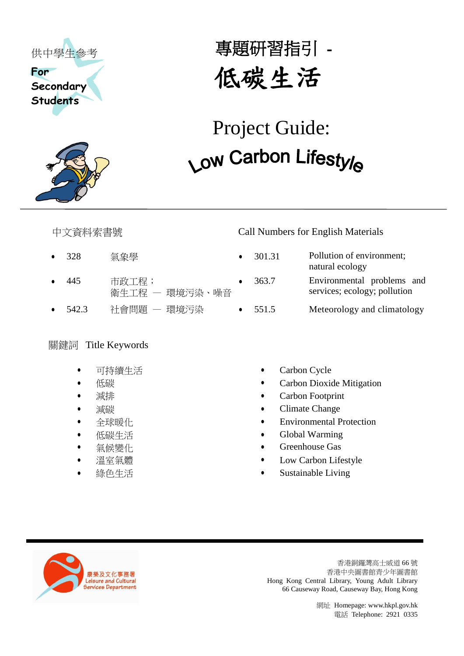



# 專題研習指引 - 低碳生活

# (中学生多考<br>
Student's<br>
Student's<br>
Student's<br>
Student's<br>
Telephone: 2022<br>
Telephone: 2022<br>
2022<br>
2022<br>
2022<br>
2023<br>
2023<br>
2023<br>
2023<br>
2023<br>
2023<br>
2023<br>
2023<br>
2023<br>
2023<br>
2023<br>
2023<br>
2023<br>
2023<br>
2023<br>
2023<br>
2023<br>
2023<br>
2023<br>
20 Project Guide:

- 
- 445 市政工程; 衛生工程 — 環境污染、噪音
- 

## 關鍵詞 Title Keywords

- 可持續生活
- 低碳
- 減排
- 減碳
- 全球暖化
- 低碳生活
- 氣候變化
- 溫室氣體
- 綠色生活

### 中文資料索書號 Call Numbers for English Materials

- 328 氣象學 301.31 Pollution of environment;
	- natural ecology 363.7 Environmental problems and
	- services; ecology; pollution
- 542.3 社會問題 環境污染 → 551.5 Meteorology and climatology
	- Carbon Cycle
	- Carbon Dioxide Mitigation
	- Carbon Footprint
	- Climate Change
	- Environmental Protection
	- Global Warming
	- Greenhouse Gas
	- Low Carbon Lifestyle
	- Sustainable Living



香港銅鑼灣高士威道 66 號 香港中央圖書館青少年圖書館 Hong Kong Central Library, Young Adult Library 66 Causeway Road, Causeway Bay, Hong Kong

網址 Homepage[: www.hkpl.gov.hk](http://www.hkpl.gov.hk/)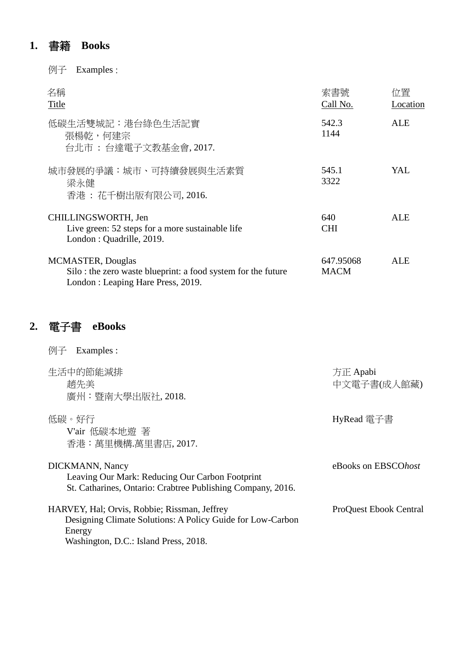### **1.** 書籍 **Books**

例子 Examples :

| 名稱<br>Title                                                                                                                   | 索書號<br>Call No.          | त∀置<br>Location |
|-------------------------------------------------------------------------------------------------------------------------------|--------------------------|-----------------|
| 低碳生活雙城記:港台綠色生活記實<br>張楊乾,何建宗<br>台北市 : 台達電子文教基金會, 2017.                                                                         | 542.3<br>1144            | ALE             |
| 城市發展的爭議:城市、可持續發展與生活素質<br>梁永健<br>香港: 花千樹出版有限公司, 2016.                                                                          | 545.1<br>3322            | YAL             |
| CHILLINGSWORTH, Jen<br>Live green: 52 steps for a more sustainable life<br>London: Quadrille, 2019.                           | 640<br><b>CHI</b>        | ALE             |
| <b>MCMASTER, Douglas</b><br>Silo: the zero waste blueprint: a food system for the future<br>London: Leaping Hare Press, 2019. | 647.95068<br><b>MACM</b> | ALE             |

### **2.** 電子書 **eBooks**

例子 Examples : 生活中的節能減排 趙先美 廣州:暨南大學出版社, 2018. 方正 Apabi 中文電子書(成人館藏) 低碳。好行 V'air 低碳本地遊 著 香港:萬里機構.萬里書店, 2017. HyRead 電子書 DICKMANN, Nancy Leaving Our Mark: Reducing Our Carbon Footprint St. Catharines, Ontario: Crabtree Publishing Company, 2016. eBooks on EBSCO*host* HARVEY, Hal; Orvis, Robbie; Rissman, Jeffrey Designing Climate Solutions: A Policy Guide for Low-Carbon Energy Washington, D.C.: Island Press, 2018. ProQuest Ebook Central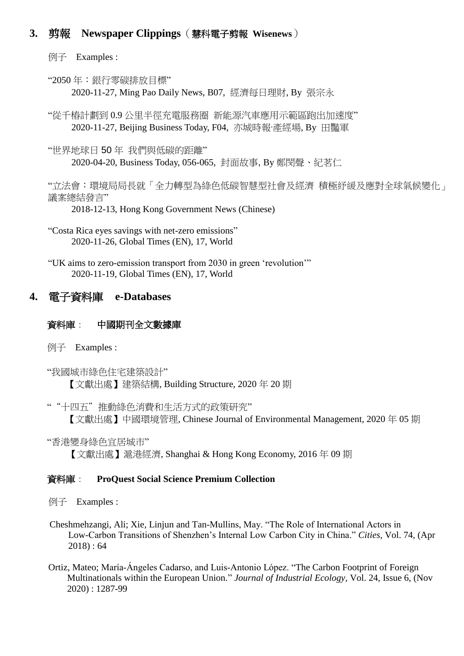### **3.** 剪報 **Newspaper Clippings**(慧科電子剪報 **Wisenews**)

例子 Examples :

"2050 年:銀行零碳排放目標" 2020-11-27, Ming Pao Daily News, B07, 經濟每日理財, By 張宗永

"從千樁計劃到 0.9 公里半徑充電服務圈 新能源汽車應用示範區跑出加速度" 2020-11-27, Beijing Business Today, F04, 亦城時報·產經場, By 田豔軍

"世界地球日 50 年 我們與低碳的距離" 2020-04-20, Business Today, 056-065, 封面故事, By 鄭閔聲、紀茗仁

"立法會:環境局局長就「全力轉型為綠色低碳智慧型社會及經濟 積極紓緩及應對全球氣候變化」 議案總結發言"

2018-12-13, Hong Kong Government News (Chinese)

"Costa Rica eyes savings with net-zero emissions" 2020-11-26, Global Times (EN), 17, World

"UK aims to zero-emission transport from 2030 in green 'revolution'" 2020-11-19, Global Times (EN), 17, World

### **4.** 電子資料庫 **e-Databases**

### 資料庫: 中國期刊全文數據庫

例子 Examples :

"我國城市綠色住宅建築設計" 【文獻出處】建築結構, Building Structure, 2020 年 20 期

""十四五"推動綠色消費和生活方式的政策研究" 【文獻出處】中國環境管理, Chinese Journal of Environmental Management, 2020 年 05 期

"香港變身綠色宜居城市"

【文獻出處】滬港經濟, Shanghai & Hong Kong Economy, 2016 年 09 期

### 資料庫: **ProQuest Social Science Premium Collection**

例子 Examples :

- Cheshmehzangi, Ali; Xie, Linjun and Tan-Mullins, May. "The Role of International Actors in Low-Carbon Transitions of Shenzhen's Internal Low Carbon City in China." *Cities*, Vol. 74, (Apr 2018) : 64
- Ortiz, Mateo; María‐Ángeles Cadarso, and Luis‐Antonio López. "The Carbon Footprint of Foreign Multinationals within the European Union." *Journal of Industrial Ecology,* Vol. 24, Issue 6, (Nov 2020) : 1287-99